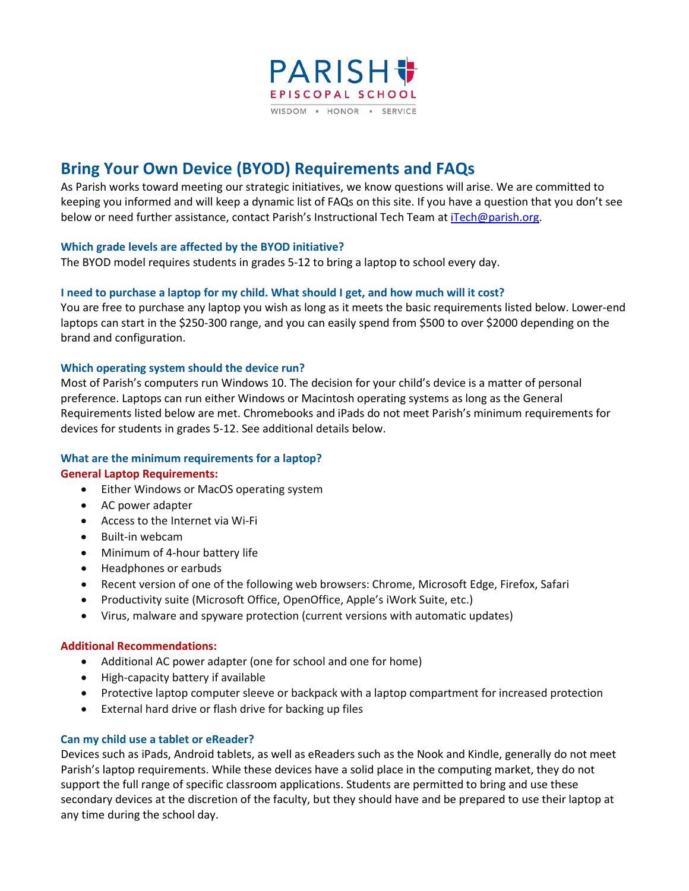

# **Bring Your Own Device (BYOD) Requirements and FAQs**

As Parish works toward meeting our strategic initiatives, we know questions will arise. We are committed to keeping you informed and will keep a dynamic list of FAQs on this site. If you have a question that you don't see below or need further assistance, contact Parish's Instructional Tech Team a[t iTech@parish.org.](mailto:iTech@parish.org)

# **Which grade levels are affected by the BYOD initiative?**

The BYOD model requires students in grades 5-12 to bring a laptop to school every day.

# **I need to purchase a laptop for my child. What should I get, and how much will it cost?**

You are free to purchase any laptop you wish as long as it meets the basic requirements listed below. Lower-end laptops can start in the \$250-300 range, and you can easily spend from \$500 to over \$2000 depending on the brand and configuration.

# **Which operating system should the device run?**

Most of Parish's computers run Windows 10. The decision for your child's device is a matter of personal preference. Laptops can run either Windows or Macintosh operating systems as long as the General Requirements listed below are met. Chromebooks and iPads do not meet Parish's minimum requirements for devices for students in grades 5-12. See additional details below.

# **What are the minimum requirements for a laptop?**

# **General Laptop Requirements:**

- Either Windows or MacOS operating system
- AC power adapter
- Access to the Internet via Wi-Fi
- Built-in webcam
- Minimum of 4-hour battery life
- Headphones or earbuds
- Recent version of one of the following web browsers: Chrome, Microsoft Edge, Firefox, Safari
- Productivity suite (Microsoft Office, OpenOffice, Apple's iWork Suite, etc.)
- Virus, malware and spyware protection (current versions with automatic updates)

# **Additional Recommendations:**

- Additional AC power adapter (one for school and one for home)
- High-capacity battery if available
- Protective laptop computer sleeve or backpack with a laptop compartment for increased protection
- External hard drive or flash drive for backing up files

# **Can my child use a tablet or eReader?**

Devices such as iPads, Android tablets, as well as eReaders such as the Nook and Kindle, generally do not meet Parish's laptop requirements. While these devices have a solid place in the computing market, they do not support the full range of specific classroom applications. Students are permitted to bring and use these secondary devices at the discretion of the faculty, but they should have and be prepared to use their laptop at any time during the school day.